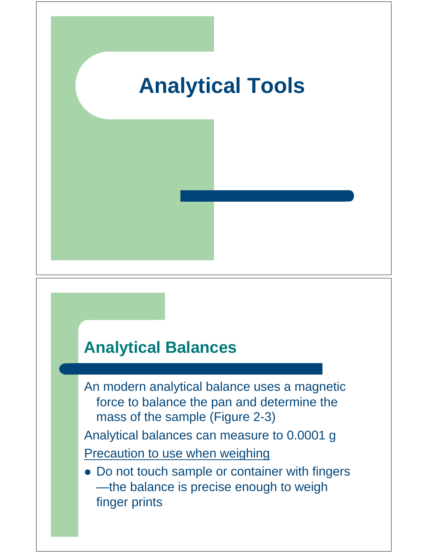

# **Analytical Balances**

An modern analytical balance uses a magnetic force to balance the pan and determine the mass of the sample (Figure 2-3)

Analytical balances can measure to 0.0001 g **Precaution to use when weighing** 

 Do not touch sample or container with fingers —the balance is precise enough to weigh finger prints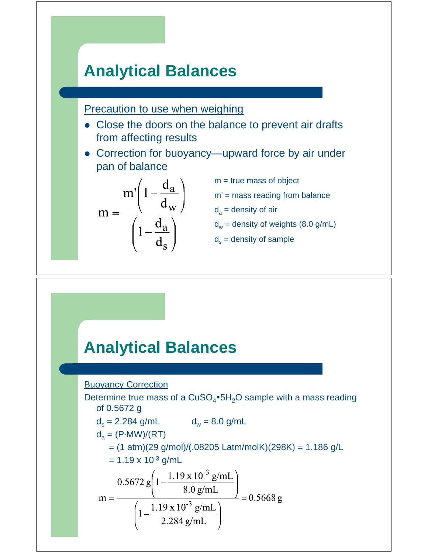## **Analytical Balances**

Precaution to use when weighing

- Close the doors on the balance to prevent air drafts from affecting results
- Correction for buoyancy—upward force by air under pan of balance

$$
m = \frac{m'\left(1 - \frac{d_a}{d_w}\right)}{\left(1 - \frac{d_a}{d_s}\right)}
$$

- m = true mass of object
- $m'$  = mass reading from balance
- $d_a$  = density of air
- $d_w$  = density of weights (8.0 g/mL)
- $d_s$  = density of sample

### **Analytical Balances**

#### Buoyancy Correction

Determine true mass of a  $CuSO_4\bullet 5H_2O$  sample with a mass reading of 0.5672 g  $d_s = 2.284$  g/mL  $d_w = 8.0$  g/mL  $d_a = (P\cdot MW)/(RT)$  = (1 atm)(29 g/mol)/(.08205 Latm/molK)(298K) = 1.186 g/L  $= 1.19 \times 10^{-3}$  g/mL  $m = \frac{0.5672 g \left(1 - \frac{1.19 \times 10^{-3} g/mL}{8.0 g/mL}\right)}{1 - \frac{1.19 \times 10^{-3} g/mL}{2.284 g/mL}} = 0.5668 g$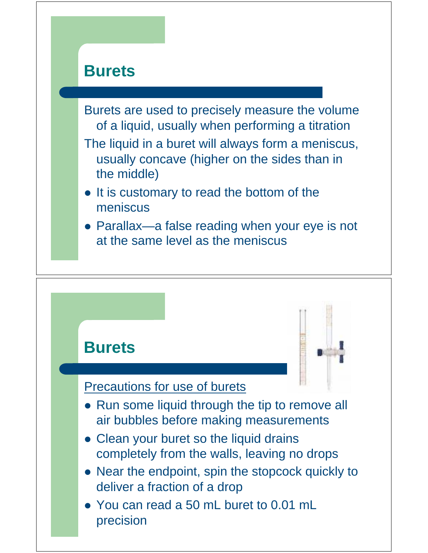

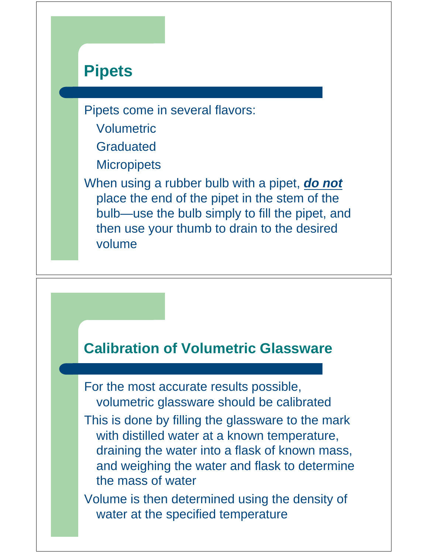## **Pipets**

Pipets come in several flavors:

- Volumetric
- Graduated
- **Micropipets**

When using a rubber bulb with a pipet, *do not* place the end of the pipet in the stem of the bulb—use the bulb simply to fill the pipet, and then use your thumb to drain to the desired volume

#### **Calibration of Volumetric Glassware**

For the most accurate results possible, volumetric glassware should be calibrated

This is done by filling the glassware to the mark with distilled water at a known temperature, draining the water into a flask of known mass, and weighing the water and flask to determine the mass of water

Volume is then determined using the density of water at the specified temperature